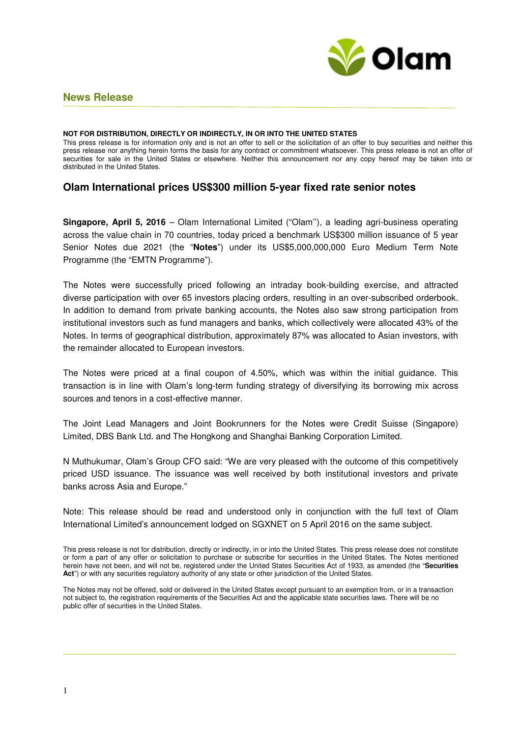

# **News Release**

#### **NOT FOR DISTRIBUTION, DIRECTLY OR INDIRECTLY, IN OR INTO THE UNITED STATES**

This press release is for information only and is not an offer to sell or the solicitation of an offer to buy securities and neither this press release nor anything herein forms the basis for any contract or commitment whatsoever. This press release is not an offer of securities for sale in the United States or elsewhere. Neither this announcement nor any copy hereof may be taken into or distributed in the United States.

### **Olam International prices US\$300 million 5-year fixed rate senior notes**

**Singapore, April 5, 2016** – Olam International Limited ("Olam''), a leading agri-business operating across the value chain in 70 countries, today priced a benchmark US\$300 million issuance of 5 year Senior Notes due 2021 (the "**Notes**") under its US\$5,000,000,000 Euro Medium Term Note Programme (the "EMTN Programme").

The Notes were successfully priced following an intraday book-building exercise, and attracted diverse participation with over 65 investors placing orders, resulting in an over-subscribed orderbook. In addition to demand from private banking accounts, the Notes also saw strong participation from institutional investors such as fund managers and banks, which collectively were allocated 43% of the Notes. In terms of geographical distribution, approximately 87% was allocated to Asian investors, with the remainder allocated to European investors.

The Notes were priced at a final coupon of 4.50%, which was within the initial guidance. This transaction is in line with Olam's long-term funding strategy of diversifying its borrowing mix across sources and tenors in a cost-effective manner.

The Joint Lead Managers and Joint Bookrunners for the Notes were Credit Suisse (Singapore) Limited, DBS Bank Ltd. and The Hongkong and Shanghai Banking Corporation Limited.

N Muthukumar, Olam's Group CFO said: "We are very pleased with the outcome of this competitively priced USD issuance. The issuance was well received by both institutional investors and private banks across Asia and Europe."

Note: This release should be read and understood only in conjunction with the full text of Olam International Limited's announcement lodged on SGXNET on 5 April 2016 on the same subject.

This press release is not for distribution, directly or indirectly, in or into the United States. This press release does not constitute or form a part of any offer or solicitation to purchase or subscribe for securities in the United States. The Notes mentioned herein have not been, and will not be, registered under the United States Securities Act of 1933, as amended (the "**Securities Act**") or with any securities regulatory authority of any state or other jurisdiction of the United States.

The Notes may not be offered, sold or delivered in the United States except pursuant to an exemption from, or in a transaction not subject to, the registration requirements of the Securities Act and the applicable state securities laws. There will be no public offer of securities in the United States.